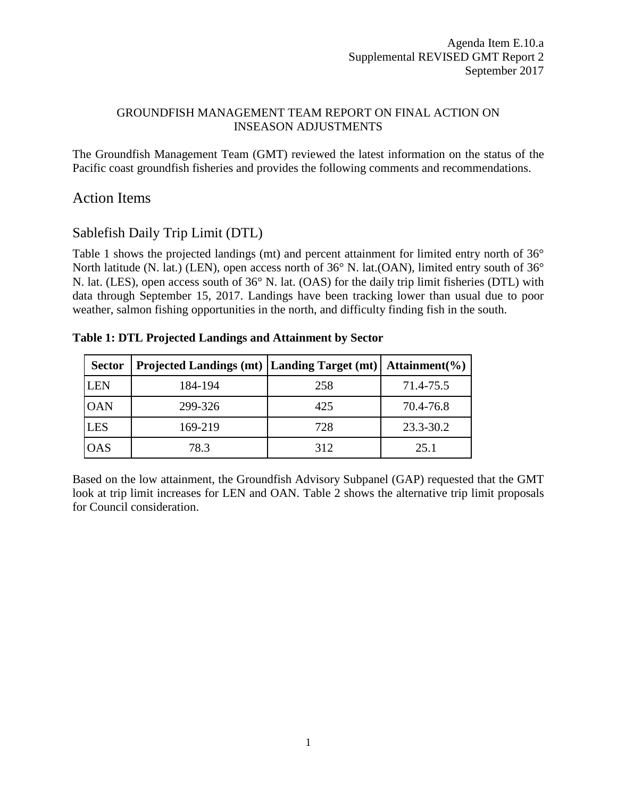#### GROUNDFISH MANAGEMENT TEAM REPORT ON FINAL ACTION ON INSEASON ADJUSTMENTS

The Groundfish Management Team (GMT) reviewed the latest information on the status of the Pacific coast groundfish fisheries and provides the following comments and recommendations.

# Action Items

## Sablefish Daily Trip Limit (DTL)

[Table 1](#page-0-0) shows the projected landings (mt) and percent attainment for limited entry north of 36° North latitude (N. lat.) (LEN), open access north of 36° N. lat.(OAN), limited entry south of 36° N. lat. (LES), open access south of 36° N. lat. (OAS) for the daily trip limit fisheries (DTL) with data through September 15, 2017. Landings have been tracking lower than usual due to poor weather, salmon fishing opportunities in the north, and difficulty finding fish in the south.

#### <span id="page-0-0"></span>**Table 1: DTL Projected Landings and Attainment by Sector**

| <b>Sector</b> | Projected Landings (mt)   Landing Target (mt)   Attainment (%) |     |           |
|---------------|----------------------------------------------------------------|-----|-----------|
| <b>LEN</b>    | 184-194                                                        | 258 | 71.4-75.5 |
| <b>OAN</b>    | 299-326                                                        | 425 | 70.4-76.8 |
| <b>LES</b>    | 169-219                                                        | 728 | 23.3-30.2 |
| <b>OAS</b>    | 78.3                                                           | 312 | 25.1      |

Based on the low attainment, the Groundfish Advisory Subpanel (GAP) requested that the GMT look at trip limit increases for LEN and OAN. [Table 2](#page-1-0) shows the alternative trip limit proposals for Council consideration.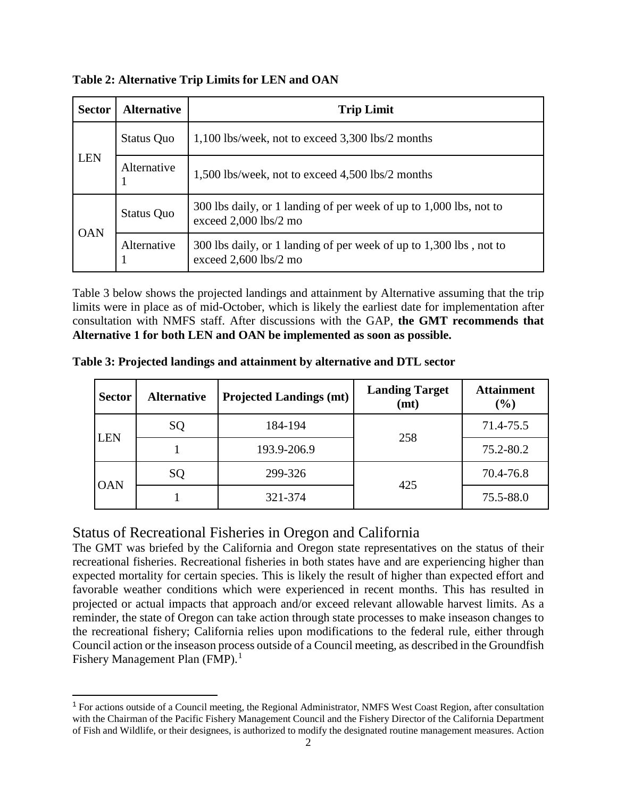| <b>Sector</b> | <b>Alternative</b> | <b>Trip Limit</b>                                                                             |
|---------------|--------------------|-----------------------------------------------------------------------------------------------|
|               | <b>Status Quo</b>  | $1,100$ lbs/week, not to exceed $3,300$ lbs/2 months                                          |
| <b>LEN</b>    | Alternative        | 1,500 lbs/week, not to exceed 4,500 lbs/2 months                                              |
| <b>OAN</b>    | <b>Status Quo</b>  | 300 lbs daily, or 1 landing of per week of up to 1,000 lbs, not to<br>exceed 2,000 lbs/2 mo   |
|               | Alternative        | 300 lbs daily, or 1 landing of per week of up to 1,300 lbs, not to<br>exceed $2,600$ lbs/2 mo |

<span id="page-1-0"></span>**Table 2: Alternative Trip Limits for LEN and OAN**

[Table 3](#page-1-1) below shows the projected landings and attainment by Alternative assuming that the trip limits were in place as of mid-October, which is likely the earliest date for implementation after consultation with NMFS staff. After discussions with the GAP, **the GMT recommends that Alternative 1 for both LEN and OAN be implemented as soon as possible.** 

<span id="page-1-1"></span>**Table 3: Projected landings and attainment by alternative and DTL sector**

| <b>Sector</b> | <b>Alternative</b> | <b>Projected Landings (mt)</b> | <b>Landing Target</b><br>(mt) | <b>Attainment</b><br>$(\%)$ |
|---------------|--------------------|--------------------------------|-------------------------------|-----------------------------|
| <b>LEN</b>    | SQ                 | 184-194                        | 258                           | 71.4-75.5                   |
|               |                    | 193.9-206.9                    |                               | 75.2-80.2                   |
| <b>OAN</b>    | SQ                 | 299-326                        | 425                           | 70.4-76.8                   |
|               |                    | 321-374                        |                               | 75.5-88.0                   |

## Status of Recreational Fisheries in Oregon and California

The GMT was briefed by the California and Oregon state representatives on the status of their recreational fisheries. Recreational fisheries in both states have and are experiencing higher than expected mortality for certain species. This is likely the result of higher than expected effort and favorable weather conditions which were experienced in recent months. This has resulted in projected or actual impacts that approach and/or exceed relevant allowable harvest limits. As a reminder, the state of Oregon can take action through state processes to make inseason changes to the recreational fishery; California relies upon modifications to the federal rule, either through Council action or the inseason process outside of a Council meeting, as described in the Groundfish Fishery Management Plan  $(FMP)$ .<sup>[1](#page-1-2)</sup>

<span id="page-1-2"></span> <sup>1</sup> For actions outside of a Council meeting, the Regional Administrator, NMFS West Coast Region, after consultation with the Chairman of the Pacific Fishery Management Council and the Fishery Director of the California Department of Fish and Wildlife, or their designees, is authorized to modify the designated routine management measures. Action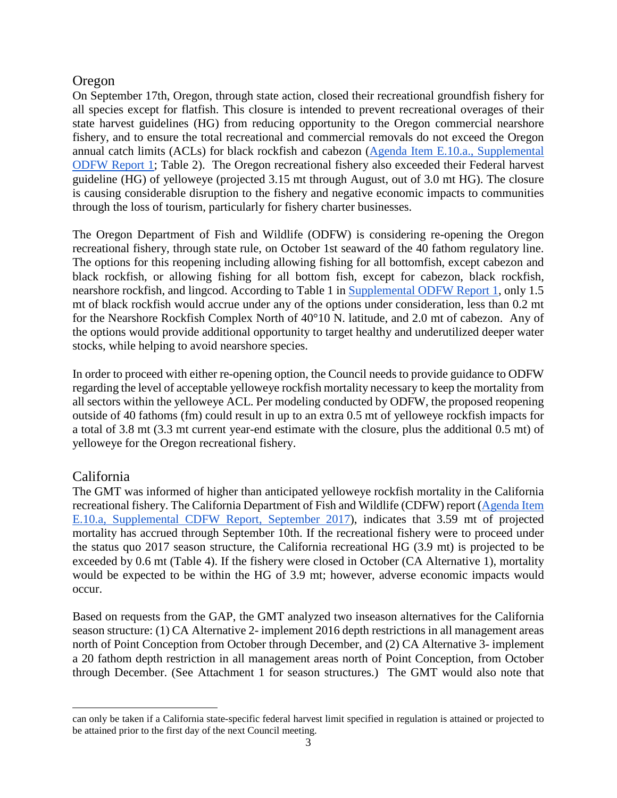### Oregon

On September 17th, Oregon, through state action, closed their recreational groundfish fishery for all species except for flatfish. This closure is intended to prevent recreational overages of their state harvest guidelines (HG) from reducing opportunity to the Oregon commercial nearshore fishery, and to ensure the total recreational and commercial removals do not exceed the Oregon annual catch limits (ACLs) for black rockfish and cabezon [\(Agenda Item E.10.a., Supplemental](http://www.pcouncil.org/wp-content/uploads/2017/09/E10a_Sup_ODFW_Rpt1_SEPT2017BB.pdf)  [ODFW Report 1;](http://www.pcouncil.org/wp-content/uploads/2017/09/E10a_Sup_ODFW_Rpt1_SEPT2017BB.pdf) Table 2). The Oregon recreational fishery also exceeded their Federal harvest guideline (HG) of yelloweye (projected 3.15 mt through August, out of 3.0 mt HG). The closure is causing considerable disruption to the fishery and negative economic impacts to communities through the loss of tourism, particularly for fishery charter businesses.

The Oregon Department of Fish and Wildlife (ODFW) is considering re-opening the Oregon recreational fishery, through state rule, on October 1st seaward of the 40 fathom regulatory line. The options for this reopening including allowing fishing for all bottomfish, except cabezon and black rockfish, or allowing fishing for all bottom fish, except for cabezon, black rockfish, nearshore rockfish, and lingcod. According to Table 1 in [Supplemental ODFW Report 1,](http://www.pcouncil.org/wp-content/uploads/2017/09/E10a_Sup_ODFW_Rpt1_SEPT2017BB.pdf) only 1.5 mt of black rockfish would accrue under any of the options under consideration, less than 0.2 mt for the Nearshore Rockfish Complex North of 40°10 N. latitude, and 2.0 mt of cabezon. Any of the options would provide additional opportunity to target healthy and underutilized deeper water stocks, while helping to avoid nearshore species.

In order to proceed with either re-opening option, the Council needs to provide guidance to ODFW regarding the level of acceptable yelloweye rockfish mortality necessary to keep the mortality from all sectors within the yelloweye ACL. Per modeling conducted by ODFW, the proposed reopening outside of 40 fathoms (fm) could result in up to an extra 0.5 mt of yelloweye rockfish impacts for a total of 3.8 mt (3.3 mt current year-end estimate with the closure, plus the additional 0.5 mt) of yelloweye for the Oregon recreational fishery.

### California

 $\overline{a}$ 

The GMT was informed of higher than anticipated yelloweye rockfish mortality in the California recreational fishery. The California Department of Fish and Wildlife (CDFW) report [\(Agenda Item](http://www.pcouncil.org/wp-content/uploads/2017/09/E10a_Sup_CDFW_Rpt1_Inseason_SEPT2017BB.pdf)  [E.10.a, Supplemental CDFW Report, September 2017\)](http://www.pcouncil.org/wp-content/uploads/2017/09/E10a_Sup_CDFW_Rpt1_Inseason_SEPT2017BB.pdf), indicates that 3.59 mt of projected mortality has accrued through September 10th. If the recreational fishery were to proceed under the status quo 2017 season structure, the California recreational HG (3.9 mt) is projected to be exceeded by 0.6 mt (Table 4). If the fishery were closed in October (CA Alternative 1), mortality would be expected to be within the HG of 3.9 mt; however, adverse economic impacts would occur.

Based on requests from the GAP, the GMT analyzed two inseason alternatives for the California season structure: (1) CA Alternative 2- implement 2016 depth restrictions in all management areas north of Point Conception from October through December, and (2) CA Alternative 3- implement a 20 fathom depth restriction in all management areas north of Point Conception, from October through December. (See Attachment 1 for season structures.) The GMT would also note that

can only be taken if a California state-specific federal harvest limit specified in regulation is attained or projected to be attained prior to the first day of the next Council meeting.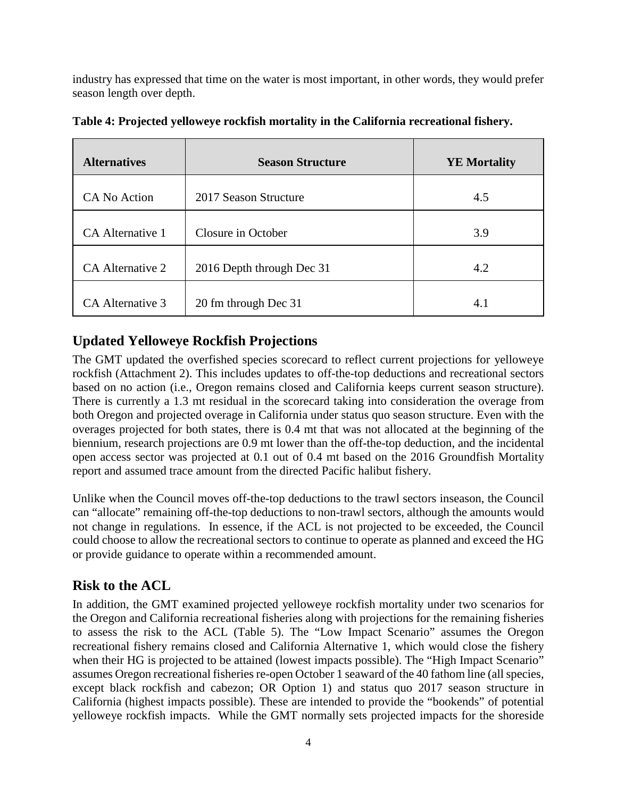industry has expressed that time on the water is most important, in other words, they would prefer season length over depth.

| <b>Alternatives</b> | <b>Season Structure</b>   | <b>YE Mortality</b> |
|---------------------|---------------------------|---------------------|
| CA No Action        | 2017 Season Structure     | 4.5                 |
| CA Alternative 1    | Closure in October        | 3.9                 |
| CA Alternative 2    | 2016 Depth through Dec 31 | 4.2                 |
| CA Alternative 3    | 20 fm through Dec 31      | 4.1                 |

**Table 4: Projected yelloweye rockfish mortality in the California recreational fishery.**

# **Updated Yelloweye Rockfish Projections**

The GMT updated the overfished species scorecard to reflect current projections for yelloweye rockfish (Attachment 2). This includes updates to off-the-top deductions and recreational sectors based on no action (i.e., Oregon remains closed and California keeps current season structure). There is currently a 1.3 mt residual in the scorecard taking into consideration the overage from both Oregon and projected overage in California under status quo season structure. Even with the overages projected for both states, there is 0.4 mt that was not allocated at the beginning of the biennium, research projections are 0.9 mt lower than the off-the-top deduction, and the incidental open access sector was projected at 0.1 out of 0.4 mt based on the 2016 Groundfish Mortality report and assumed trace amount from the directed Pacific halibut fishery.

Unlike when the Council moves off-the-top deductions to the trawl sectors inseason, the Council can "allocate" remaining off-the-top deductions to non-trawl sectors, although the amounts would not change in regulations. In essence, if the ACL is not projected to be exceeded, the Council could choose to allow the recreational sectors to continue to operate as planned and exceed the HG or provide guidance to operate within a recommended amount.

# **Risk to the ACL**

In addition, the GMT examined projected yelloweye rockfish mortality under two scenarios for the Oregon and California recreational fisheries along with projections for the remaining fisheries to assess the risk to the ACL [\(Table 5\)](#page-4-0). The "Low Impact Scenario" assumes the Oregon recreational fishery remains closed and California Alternative 1, which would close the fishery when their HG is projected to be attained (lowest impacts possible). The "High Impact Scenario" assumes Oregon recreational fisheries re-open October 1 seaward of the 40 fathom line (all species, except black rockfish and cabezon; OR Option 1) and status quo 2017 season structure in California (highest impacts possible). These are intended to provide the "bookends" of potential yelloweye rockfish impacts. While the GMT normally sets projected impacts for the shoreside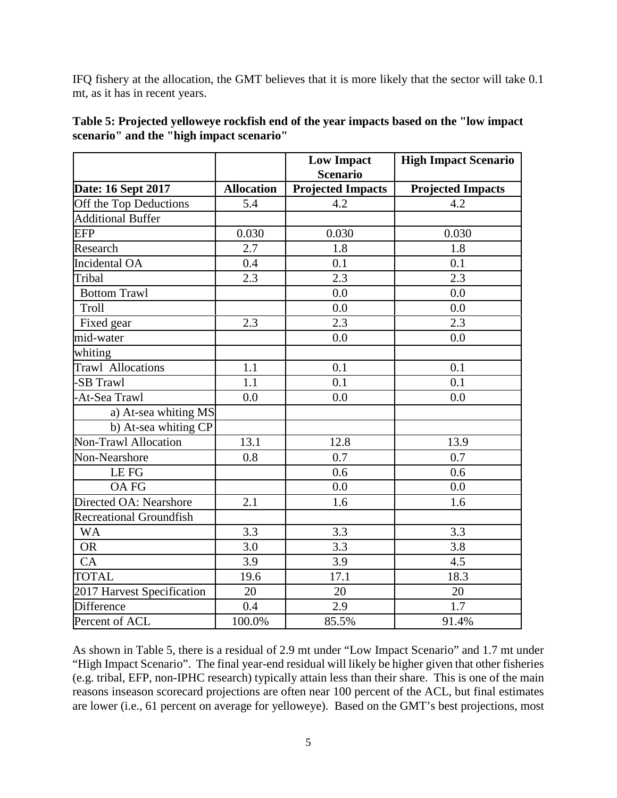IFQ fishery at the allocation, the GMT believes that it is more likely that the sector will take 0.1 mt, as it has in recent years.

|                             |                   | <b>Low Impact</b><br><b>Scenario</b> | <b>High Impact Scenario</b> |
|-----------------------------|-------------------|--------------------------------------|-----------------------------|
| Date: 16 Sept 2017          | <b>Allocation</b> | <b>Projected Impacts</b>             | <b>Projected Impacts</b>    |
| Off the Top Deductions      | 5.4               | 4.2                                  | 4.2                         |
| <b>Additional Buffer</b>    |                   |                                      |                             |
| <b>EFP</b>                  | 0.030             | 0.030                                | 0.030                       |
| Research                    | 2.7               | 1.8                                  | 1.8                         |
| <b>Incidental OA</b>        | 0.4               | 0.1                                  | 0.1                         |
| Tribal                      | 2.3               | 2.3                                  | 2.3                         |
| <b>Bottom Trawl</b>         |                   | 0.0                                  | 0.0                         |
| Troll                       |                   | 0.0                                  | 0.0                         |
| Fixed gear                  | 2.3               | 2.3                                  | 2.3                         |
| mid-water                   |                   | 0.0                                  | 0.0                         |
| whiting                     |                   |                                      |                             |
| Trawl Allocations           | 1.1               | 0.1                                  | 0.1                         |
| -SB Trawl                   | 1.1               | 0.1                                  | 0.1                         |
| -At-Sea Trawl               | 0.0               | 0.0                                  | 0.0                         |
| a) At-sea whiting MS        |                   |                                      |                             |
| b) At-sea whiting CP        |                   |                                      |                             |
| <b>Non-Trawl Allocation</b> | $\overline{13.1}$ | 12.8                                 | 13.9                        |
| Non-Nearshore               | 0.8               | 0.7                                  | 0.7                         |
| LE FG                       |                   | 0.6                                  | 0.6                         |
| <b>OA FG</b>                |                   | 0.0                                  | 0.0                         |
| Directed OA: Nearshore      | 2.1               | 1.6                                  | 1.6                         |
| Recreational Groundfish     |                   |                                      |                             |
| <b>WA</b>                   | 3.3               | 3.3                                  | 3.3                         |
| <b>OR</b>                   | 3.0               | 3.3                                  | 3.8                         |
| CA                          | 3.9               | 3.9                                  | 4.5                         |
| <b>TOTAL</b>                | 19.6              | 17.1                                 | 18.3                        |
| 2017 Harvest Specification  | 20                | 20                                   | 20                          |
| <b>Difference</b>           | 0.4               | 2.9                                  | 1.7                         |
| Percent of ACL              | 100.0%            | 85.5%                                | 91.4%                       |

<span id="page-4-0"></span>

| Table 5: Projected yelloweye rockfish end of the year impacts based on the "low impact |  |
|----------------------------------------------------------------------------------------|--|
| scenario" and the "high impact scenario"                                               |  |

As shown in [Table 5,](#page-4-0) there is a residual of 2.9 mt under "Low Impact Scenario" and 1.7 mt under "High Impact Scenario". The final year-end residual will likely be higher given that other fisheries (e.g. tribal, EFP, non-IPHC research) typically attain less than their share. This is one of the main reasons inseason scorecard projections are often near 100 percent of the ACL, but final estimates are lower (i.e., 61 percent on average for yelloweye). Based on the GMT's best projections, most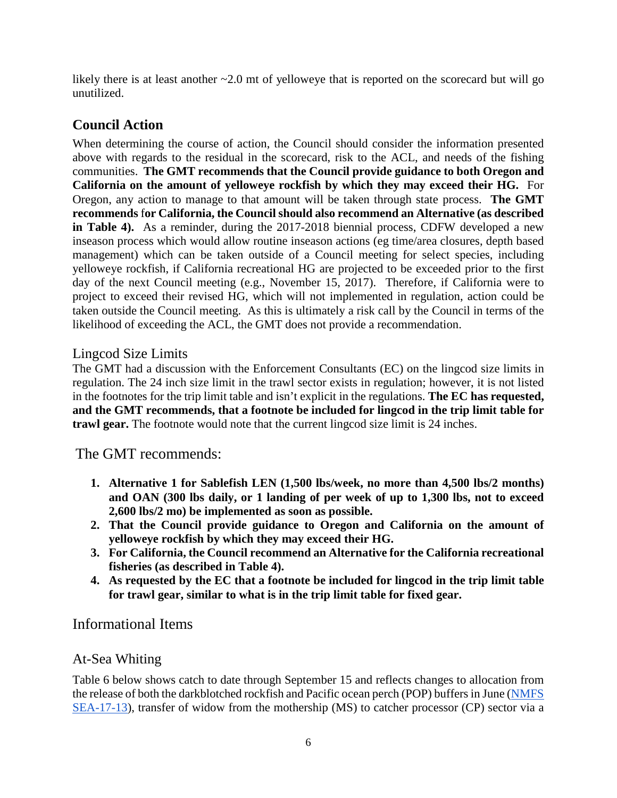likely there is at least another  $\sim 2.0$  mt of yelloweye that is reported on the scorecard but will go unutilized.

# **Council Action**

When determining the course of action, the Council should consider the information presented above with regards to the residual in the scorecard, risk to the ACL, and needs of the fishing communities. **The GMT recommends that the Council provide guidance to both Oregon and California on the amount of yelloweye rockfish by which they may exceed their HG.** For Oregon, any action to manage to that amount will be taken through state process. **The GMT recommends** f**or California, the Council should also recommend an Alternative (as described in Table 4).** As a reminder, during the 2017-2018 biennial process, CDFW developed a new inseason process which would allow routine inseason actions (eg time/area closures, depth based management) which can be taken outside of a Council meeting for select species, including yelloweye rockfish, if California recreational HG are projected to be exceeded prior to the first day of the next Council meeting (e.g., November 15, 2017). Therefore, if California were to project to exceed their revised HG, which will not implemented in regulation, action could be taken outside the Council meeting. As this is ultimately a risk call by the Council in terms of the likelihood of exceeding the ACL, the GMT does not provide a recommendation.

### Lingcod Size Limits

The GMT had a discussion with the Enforcement Consultants (EC) on the lingcod size limits in regulation. The 24 inch size limit in the trawl sector exists in regulation; however, it is not listed in the footnotes for the trip limit table and isn't explicit in the regulations. **The EC has requested, and the GMT recommends, that a footnote be included for lingcod in the trip limit table for trawl gear.** The footnote would note that the current lingcod size limit is 24 inches.

The GMT recommends:

- **1. Alternative 1 for Sablefish LEN (1,500 lbs/week, no more than 4,500 lbs/2 months) and OAN (300 lbs daily, or 1 landing of per week of up to 1,300 lbs, not to exceed 2,600 lbs/2 mo) be implemented as soon as possible.**
- **2. That the Council provide guidance to Oregon and California on the amount of yelloweye rockfish by which they may exceed their HG.**
- **3. For California, the Council recommend an Alternative for the California recreational fisheries (as described in Table 4).**
- **4. As requested by the EC that a footnote be included for lingcod in the trip limit table for trawl gear, similar to what is in the trip limit table for fixed gear.**

### Informational Items

### At-Sea Whiting

[Table 6](#page-6-0) below shows catch to date through September 15 and reflects changes to allocation from the release of both the darkblotched rockfish and Pacific ocean perch (POP) buffers in June [\(NMFS](http://www.westcoast.fisheries.noaa.gov/publications/fishery_management/groundfish/public_notices/nmfs-sea-17-13.pdf)  [SEA-17-13\)](http://www.westcoast.fisheries.noaa.gov/publications/fishery_management/groundfish/public_notices/nmfs-sea-17-13.pdf), transfer of widow from the mothership (MS) to catcher processor (CP) sector via a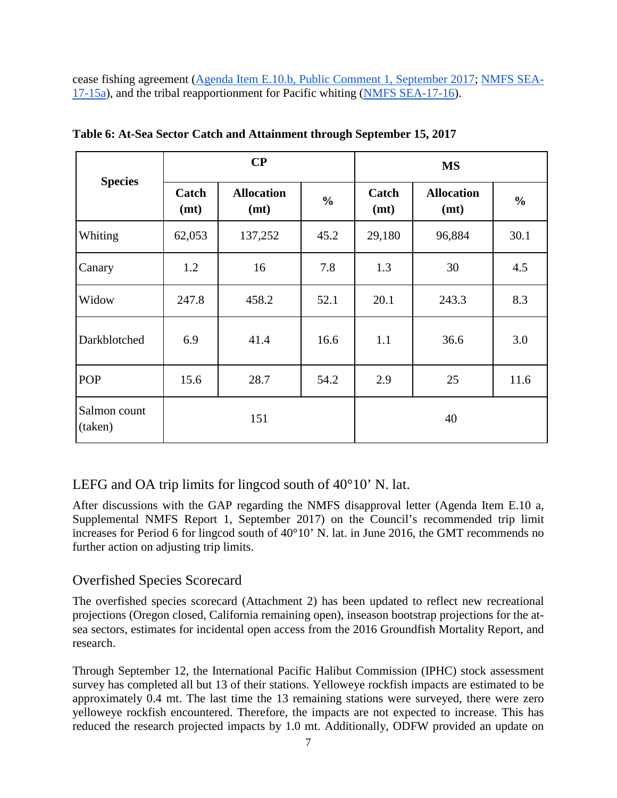cease fishing agreement [\(Agenda Item E.10.b, Public Comment 1, September 2017;](http://www.pcouncil.org/wp-content/uploads/2017/08/E10b_PubCom_SEPT2017BB.pdf) [NMFS SEA-](http://www.westcoast.fisheries.noaa.gov/publications/fishery_management/groundfish/public_notices/nmfs-sea-17-15a.pdf)[17-15a\)](http://www.westcoast.fisheries.noaa.gov/publications/fishery_management/groundfish/public_notices/nmfs-sea-17-15a.pdf), and the tribal reapportionment for Pacific whiting [\(NMFS SEA-17-16\)](http://www.westcoast.fisheries.noaa.gov/publications/fishery_management/groundfish/public_notices/nmfs-sea-17-16.pdf).

|                         |               | $\bf CP$                  |                          |               | <b>MS</b>                 |               |
|-------------------------|---------------|---------------------------|--------------------------|---------------|---------------------------|---------------|
| <b>Species</b>          | Catch<br>(mt) | <b>Allocation</b><br>(mt) | $\frac{6}{6}$            | Catch<br>(mt) | <b>Allocation</b><br>(mt) | $\frac{6}{6}$ |
| Whiting                 | 62,053        | 137,252                   | 45.2<br>29,180<br>96,884 |               | 30.1                      |               |
| Canary                  | 1.2           | 16                        | 7.8                      | 1.3<br>30     |                           | 4.5           |
| Widow                   | 247.8         | 458.2                     | 52.1                     |               | 243.3                     | 8.3           |
| Darkblotched            | 6.9           | 41.4                      | 16.6                     | 1.1           | 36.6                      | 3.0           |
| POP                     | 15.6          | 28.7                      | 54.2                     | 2.9           | 25                        | 11.6          |
| Salmon count<br>(taken) | 151           |                           |                          |               |                           |               |

<span id="page-6-0"></span>**Table 6: At-Sea Sector Catch and Attainment through September 15, 2017**

LEFG and OA trip limits for lingcod south of 40°10' N. lat.

After discussions with the GAP regarding the NMFS disapproval letter (Agenda Item E.10 a, Supplemental NMFS Report 1, September 2017) on the Council's recommended trip limit increases for Period 6 for lingcod south of 40°10' N. lat. in June 2016, the GMT recommends no further action on adjusting trip limits.

## Overfished Species Scorecard

The overfished species scorecard (Attachment 2) has been updated to reflect new recreational projections (Oregon closed, California remaining open), inseason bootstrap projections for the atsea sectors, estimates for incidental open access from the 2016 Groundfish Mortality Report, and research.

Through September 12, the International Pacific Halibut Commission (IPHC) stock assessment survey has completed all but 13 of their stations. Yelloweye rockfish impacts are estimated to be approximately 0.4 mt. The last time the 13 remaining stations were surveyed, there were zero yelloweye rockfish encountered. Therefore, the impacts are not expected to increase. This has reduced the research projected impacts by 1.0 mt. Additionally, ODFW provided an update on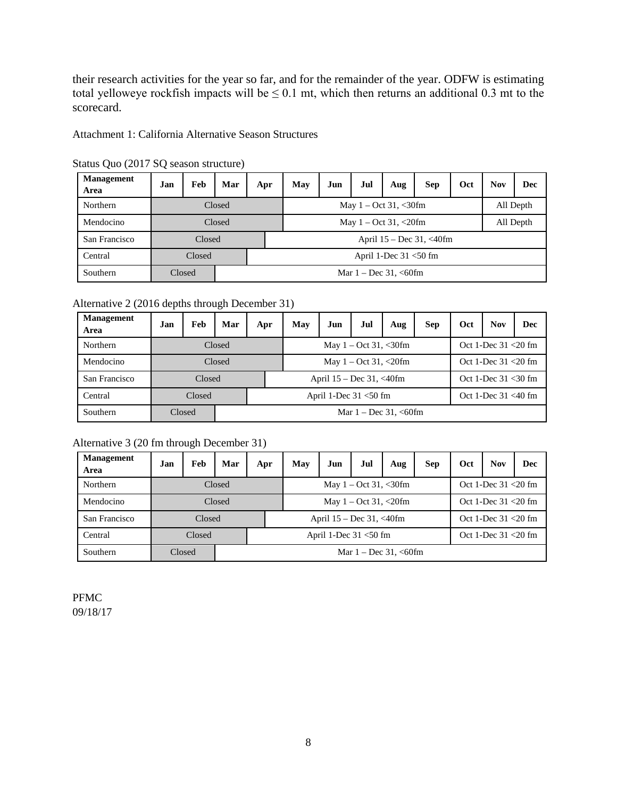their research activities for the year so far, and for the remainder of the year. ODFW is estimating total yelloweye rockfish impacts will be  $\leq 0.1$  mt, which then returns an additional 0.3 mt to the scorecard.

Attachment 1: California Alternative Season Structures

| <b>Management</b><br>Area | Jan | Feb    | Mar    | Apr                       | May                       | Jun | Jul | Aug | <b>Sep</b>                   | Oct | <b>Nov</b> | Dec       |  |  |
|---------------------------|-----|--------|--------|---------------------------|---------------------------|-----|-----|-----|------------------------------|-----|------------|-----------|--|--|
| <b>Northern</b>           |     |        | Closed |                           | May $1 - Oct 31, < 30$ fm |     |     |     |                              |     | All Depth  |           |  |  |
| Mendocino                 |     |        | Closed |                           | May $1 - Oct 31, < 20 fm$ |     |     |     |                              |     |            | All Depth |  |  |
| San Francisco             |     | Closed |        |                           |                           |     |     |     | April $15 - Dec 31, < 40$ fm |     |            |           |  |  |
| Central                   |     | Closed |        | April 1-Dec $31 < 50$ fm  |                           |     |     |     |                              |     |            |           |  |  |
| Southern                  |     | Closed |        | Mar $1 - Dec 31, < 60$ fm |                           |     |     |     |                              |     |            |           |  |  |

Status Quo (2017 SQ season structure)

Alternative 2 (2016 depths through December 31)

| <b>Management</b><br>Area | Jan | Feb    | Mar    | Apr                       | May                                                                  | Jun                         | Jul | Aug | <b>Sep</b> | Oct                    | <b>Nov</b>             | <b>Dec</b> |
|---------------------------|-----|--------|--------|---------------------------|----------------------------------------------------------------------|-----------------------------|-----|-----|------------|------------------------|------------------------|------------|
| Northern                  |     |        | Closed |                           | Oct 1-Dec $31 < 20$ fm<br>May $1 - \text{Oct } 31, \lt 30 \text{fm}$ |                             |     |     |            |                        |                        |            |
| Mendocino                 |     |        | Closed |                           | May $1 - \text{Oct } 31, \leq 20$ fm                                 |                             |     |     |            |                        | Oct 1-Dec 31 < 20 fm   |            |
| San Francisco             |     | Closed |        |                           |                                                                      | April $15 - Dec 31, <40$ fm |     |     |            |                        | Oct 1-Dec $31 < 30$ fm |            |
| Central                   |     | Closed |        | April 1-Dec $31 < 50$ fm  |                                                                      |                             |     |     |            | Oct 1-Dec $31 < 40$ fm |                        |            |
| Southern                  |     | Closed |        | Mar $1 - Dec 31, < 60$ fm |                                                                      |                             |     |     |            |                        |                        |            |

#### Alternative 3 (20 fm through December 31)

| <b>Management</b><br>Area | Jan | Feb    | Mar    | Apr                       | May                                                 | Jun                          | Jul                    | Aug | <b>Sep</b>             | Oct | <b>Nov</b>             | <b>Dec</b> |
|---------------------------|-----|--------|--------|---------------------------|-----------------------------------------------------|------------------------------|------------------------|-----|------------------------|-----|------------------------|------------|
| Northern                  |     |        | Closed |                           |                                                     |                              | Oct 1-Dec $31 < 20$ fm |     |                        |     |                        |            |
| Mendocino                 |     |        | Closed |                           | Oct 1-Dec $31 < 20$ fm<br>May $1 - Oct 31, < 20 fm$ |                              |                        |     |                        |     |                        |            |
| San Francisco             |     | Closed |        |                           |                                                     | April $15 - Dec 31, < 40$ fm |                        |     |                        |     | Oct 1-Dec $31 < 20$ fm |            |
| Central                   |     | Closed |        | April 1-Dec $31 < 50$ fm  |                                                     |                              |                        |     | Oct 1-Dec $31 < 20$ fm |     |                        |            |
| Southern                  |     | Closed |        | Mar $1 - Dec 31, < 60$ fm |                                                     |                              |                        |     |                        |     |                        |            |

PFMC 09/18/17